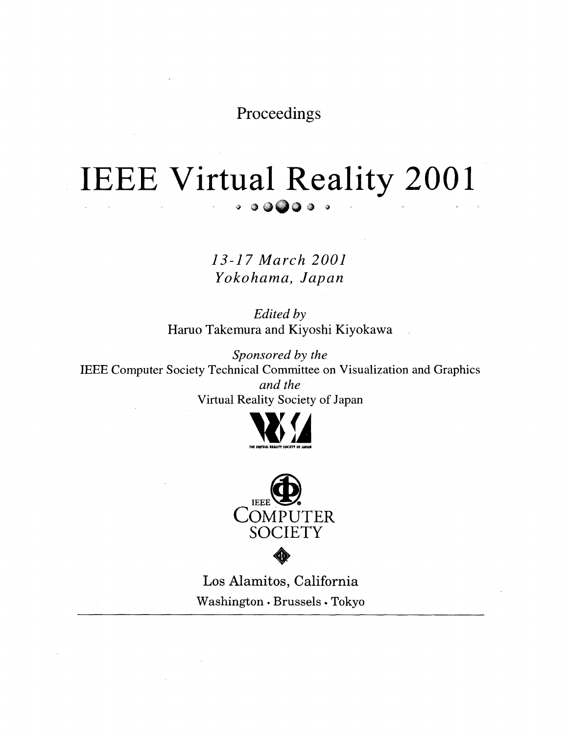Proceedings

# IEEE Virtual Reality 2001  $\cdot$  ......

13-17 March 2001 *Yokohama, Japan* 

*Edited by*  Haruo Takemura and Kiyoshi Kiyokawa

*Sponsored by the*  IEEE Computer Society Technical Committee on Visualization and Graphics *and the*  Virtual Reality Society of Japan





Los Alamitos, California Washington · Brussels · Tokyo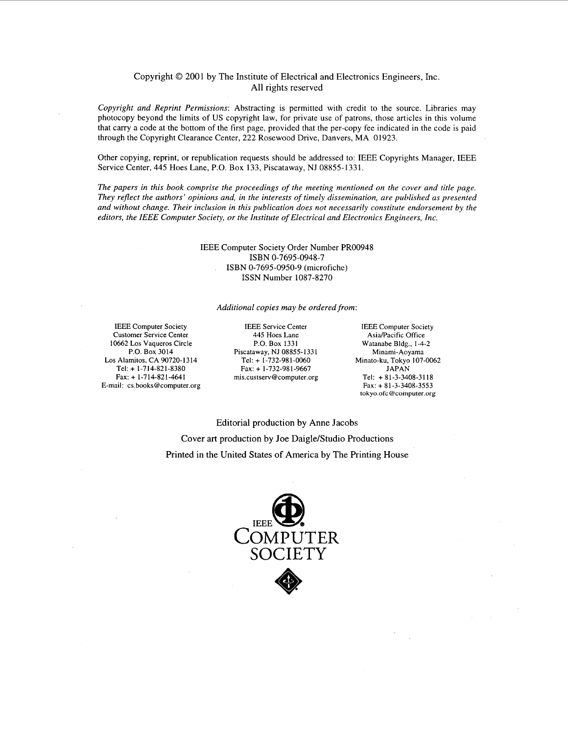#### Copyright *0* 2001 by The Institute of Electrical and Electronics Engineers, Inc. All rights reserved

*Copyright and Reprint Permissions:* Abstracting is permitted with credit to the source. Libraries may photocopy beyond the limits of **US** copyright law, for private use of patrons, those articles in this volume that carry a code at the bottom of the first page, provided that the per-copy fee indicated in the code is paid through the Copyright Clearance Center, 222 Rosewood Drive, Danvers, MA 01923.

Other copying, reprint, or republication requests should be addressed to: IEEE Copyrights Manager, IEEE Service Center, 445 Hoes Lane, P.O. Box 133, Piscataway, NJ 08855- 133 1.

*The papers in this book comprise the proceedings of the meeting mentioned on the cover and title page. They reflect the authors' opinions and, in the interests of timely dissemination, are published as presented and without change. Their inclusion in this publication does not necessarily constitute endorsement by the editors, the IEEE Computer Society, or the Institute of Electrical and Electronics Engineers, Inc.* 

#### IEEE Computer Society Order Number PRO0948 ISBN 0-7695-0950-9 (microfiche) **ISSN** Number 1087-8270 ISBN 0-7695-0948-7

#### *Additional copies may be ordered from:*

IEEE **Computer Society Customer Service Center 10662** Los **Vaqueros Circle P.O. Box 3014**  Los **Alamitos, CA 90720-1314 Tel:** + **1-714-821-8380 Fax:** + **1-714-821-4641 E-mail: [cs.books@computer.org](mailto:cs.books@computer.org)** 

IEEE **Service Center** IEEE **Computer Society Piscataway, NJ 08855-1331**<br>Tel: + 1-732-981-0060 **Fax: + 1-732-981-9667**<br>is.custserv@computer.org Tel: + 81-3-3408-3118  $mis.custserv@computer.org$ 

**445 Hoes Lane Asia/Pacific Office P.O. Box 1331 Watanabe Bldg., 1-4-**Watanabe Bldg., 1-4-2<br>Minami-Aoyama **Tel:** + **1-732-98 1-0060 Minato-ku, Tokyo 107-0062 Fax:** + **81-3-3408-3553 tokyo.ofc [@coniputer.org](mailto:coniputer.org)** 

Editorial production by Anne Jacobs Cover art production by Joe Daigle/Studio Productions Printed in the United States of America by The Printing House

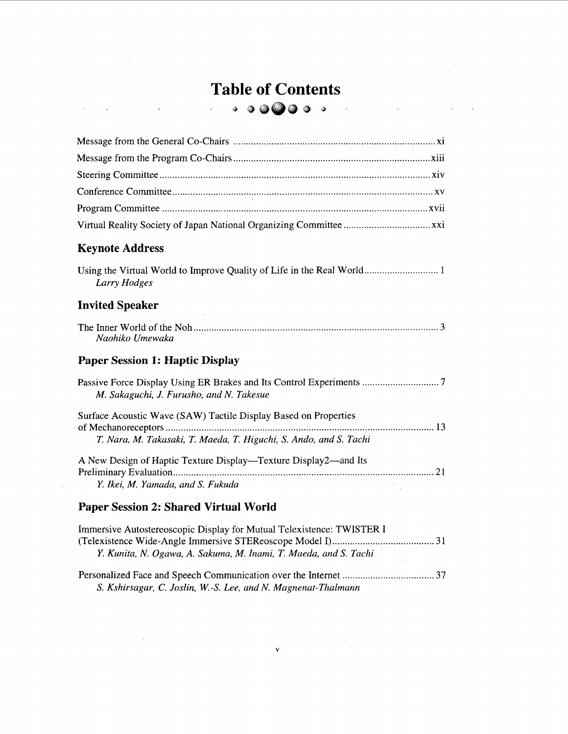## **Table of Contents**  *8* **3**

 $\frac{1}{\sqrt{2}}$ 

 $\mathcal{O}(\mathcal{O}(\log n))$ 

 $\frac{1}{\sqrt{2}}$  .

 $\mathcal{L}^{\text{max}}_{\text{max}}$  and  $\mathcal{L}^{\text{max}}_{\text{max}}$ 

 $\mathcal{L}^{\text{max}}_{\text{max}}$ 

 $\sim$   $\sim$ 

 $\label{eq:2.1} \mathcal{L}(\mathcal{L}^{\text{max}}_{\mathcal{L}}(\mathcal{L}^{\text{max}}_{\mathcal{L}}),\mathcal{L}^{\text{max}}_{\mathcal{L}}(\mathcal{L}^{\text{max}}_{\mathcal{L}}))$ 

 $\sim 10^7$ 

 $\mathcal{L}^{\text{max}}_{\text{max}}$  and  $\mathcal{L}^{\text{max}}_{\text{max}}$ 

 $\label{eq:2.1} \hat{\mathbf{A}}_{\text{max}} = \hat{\mathbf{A}}_{\text{max}}$ 

| $\sim$                                                                                                                               |
|--------------------------------------------------------------------------------------------------------------------------------------|
|                                                                                                                                      |
|                                                                                                                                      |
| <b>Keynote Address</b>                                                                                                               |
| Larry Hodges                                                                                                                         |
| <b>Invited Speaker</b>                                                                                                               |
| Naohiko Umewaka                                                                                                                      |
| <b>Paper Session 1: Haptic Display</b>                                                                                               |
| M. Sakaguchi, J. Furusho, and N. Takesue                                                                                             |
| Surface Acoustic Wave (SAW) Tactile Display Based on Properties<br>T. Nara, M. Takasaki, T. Maeda, T. Higuchi, S. Ando, and S. Tachi |
|                                                                                                                                      |
| A New Design of Haptic Texture Display—Texture Display2—and Its<br>Y. Ikei, M. Yamada, and S. Fukuda                                 |
| <b>Paper Session 2: Shared Virtual World</b>                                                                                         |

| Immersive Autostereoscopic Display for Mutual Telexistence: TWISTER I |  |
|-----------------------------------------------------------------------|--|
|                                                                       |  |
| Y. Kunita, N. Ogawa, A. Sakuma, M. Inami, T. Maeda, and S. Tachi      |  |
|                                                                       |  |
| S. Kshirsagar, C. Joslin, W.-S. Lee, and N. Magnenat-Thalmann         |  |

**V**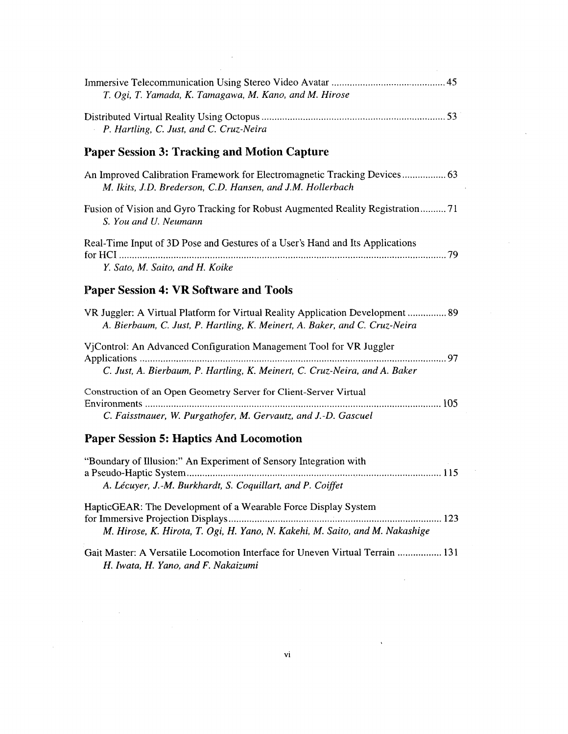| T. Ogi, T. Yamada, K. Tamagawa, M. Kano, and M. Hirose                                                                                                       |
|--------------------------------------------------------------------------------------------------------------------------------------------------------------|
| P. Hartling, C. Just, and C. Cruz-Neira                                                                                                                      |
| <b>Paper Session 3: Tracking and Motion Capture</b>                                                                                                          |
| An Improved Calibration Framework for Electromagnetic Tracking Devices 63<br>M. Ikits, J.D. Brederson, C.D. Hansen, and J.M. Hollerbach                      |
| Fusion of Vision and Gyro Tracking for Robust Augmented Reality Registration71<br>S. You and U. Neumann                                                      |
| Real-Time Input of 3D Pose and Gestures of a User's Hand and Its Applications                                                                                |
| Y. Sato, M. Saito, and H. Koike                                                                                                                              |
| <b>Paper Session 4: VR Software and Tools</b>                                                                                                                |
| VR Juggler: A Virtual Platform for Virtual Reality Application Development  89<br>A. Bierbaum, C. Just, P. Hartling, K. Meinert, A. Baker, and C. Cruz-Neira |
| VjControl: An Advanced Configuration Management Tool for VR Juggler                                                                                          |
| C. Just, A. Bierbaum, P. Hartling, K. Meinert, C. Cruz-Neira, and A. Baker                                                                                   |
| Construction of an Open Geometry Server for Client-Server Virtual<br>Environments<br>C. Faisstnauer, W. Purgathofer, M. Gervautz, and J.-D. Gascuel          |

#### **Paper Session 5: Haptics And Locomotion**

 $\sim$ 

| "Boundary of Illusion:" An Experiment of Sensory Integration with            |  |
|------------------------------------------------------------------------------|--|
|                                                                              |  |
| A. Lécuyer, J.-M. Burkhardt, S. Coquillart, and P. Coiffet                   |  |
| HapticGEAR: The Development of a Wearable Force Display System               |  |
|                                                                              |  |
| M. Hirose, K. Hirota, T. Ogi, H. Yano, N. Kakehi, M. Saito, and M. Nakashige |  |

Gait Master: A Versatile Locomotion Interface for Uneven Virtual Terrain ................. 13 1 *H. Iwata, H. Yano, and F. Nakaizumi* 

 $\sim$ 

 $\Delta$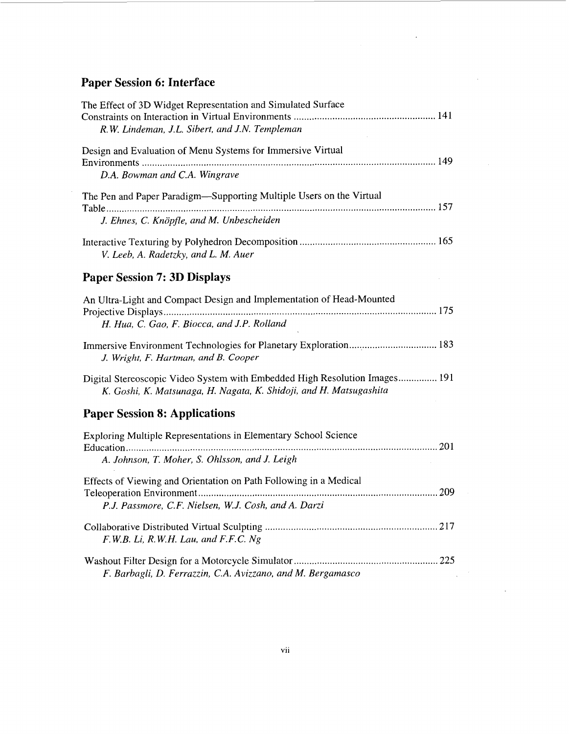## **Paper Session 6: Interface**

| The Effect of 3D Widget Representation and Simulated Surface<br>R.W. Lindeman, J.L. Sibert, and J.N. Templeman                                   |
|--------------------------------------------------------------------------------------------------------------------------------------------------|
| Design and Evaluation of Menu Systems for Immersive Virtual                                                                                      |
| D.A. Bowman and C.A. Wingrave                                                                                                                    |
| The Pen and Paper Paradigm—Supporting Multiple Users on the Virtual                                                                              |
|                                                                                                                                                  |
| J. Ehnes, C. Knöpfle, and M. Unbescheiden                                                                                                        |
| V. Leeb, A. Radetzky, and L. M. Auer                                                                                                             |
| <b>Paper Session 7: 3D Displays</b>                                                                                                              |
| An Ultra-Light and Compact Design and Implementation of Head-Mounted                                                                             |
|                                                                                                                                                  |
| H. Hua, C. Gao, F. Biocca, and J.P. Rolland                                                                                                      |
| Immersive Environment Technologies for Planetary Exploration 183<br>J. Wright, F. Hartman, and B. Cooper                                         |
| Digital Stereoscopic Video System with Embedded High Resolution Images 191<br>K. Goshi, K. Matsunaga, H. Nagata, K. Shidoji, and H. Matsugashita |
| <b>Paper Session 8: Applications</b>                                                                                                             |
| Exploring Multiple Representations in Elementary School Science                                                                                  |
|                                                                                                                                                  |
| A. Johnson, T. Moher, S. Ohlsson, and J. Leigh                                                                                                   |
| Effects of Viewing and Orientation on Path Following in a Medical                                                                                |
|                                                                                                                                                  |
| P.J. Passmore, C.F. Nielsen, W.J. Cosh, and A. Darzi                                                                                             |
|                                                                                                                                                  |
| F.W.B. Li, R.W.H. Lau, and F.F.C. Ng                                                                                                             |
|                                                                                                                                                  |
| F. Barbagli, D. Ferrazzin, C.A. Avizzano, and M. Bergamasco                                                                                      |
|                                                                                                                                                  |

 $\bar{\mathcal{A}}$ 

 $\bar{z}$ 

 $\bar{z}$ 

 $\hat{\mathcal{A}}$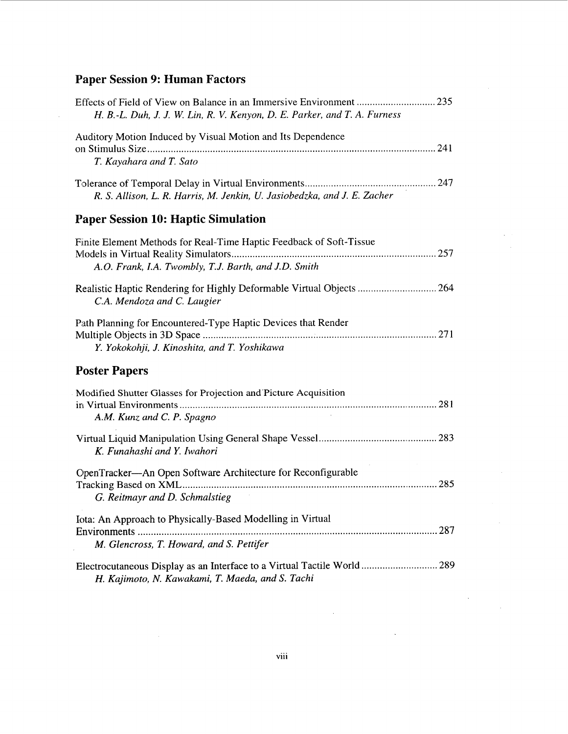### **Paper Session 9: Human Factors**

| Auditory Motion Induced by Visual Motion and Its Dependence              |
|--------------------------------------------------------------------------|
|                                                                          |
| T. Kayahara and T. Sato                                                  |
| R. S. Allison, L. R. Harris, M. Jenkin, U. Jasiobedzka, and J. E. Zacher |
| <b>Paper Session 10: Haptic Simulation</b>                               |
| Finite Element Methods for Real-Time Haptic Feedback of Soft-Tissue      |
|                                                                          |
| A.O. Frank, I.A. Twombly, T.J. Barth, and J.D. Smith                     |
| Realistic Haptic Rendering for Highly Deformable Virtual Objects  264    |
| C.A. Mendoza and C. Laugier                                              |
| Path Planning for Encountered-Type Haptic Devices that Render            |
|                                                                          |
| Y. Yokokohji, J. Kinoshita, and T. Yoshikawa                             |
| <b>Poster Papers</b>                                                     |
| Modified Shutter Glasses for Projection and Picture Acquisition          |
|                                                                          |
| A.M. Kunz and C. P. Spagno                                               |
|                                                                          |
| K. Funahashi and Y. Iwahori                                              |
| OpenTracker-An Open Software Architecture for Reconfigurable             |
|                                                                          |
| G. Reitmayr and D. Schmalstieg                                           |
| Iota: An Approach to Physically-Based Modelling in Virtual               |
|                                                                          |
| M. Glencross, T. Howard, and S. Pettifer                                 |

 $\hat{\boldsymbol{\theta}}$ 

 $\bar{\mathcal{A}}$  $\bar{\mathcal{A}}$ 

 $\bar{\alpha}$ 

 $\label{eq:2.1} \frac{1}{\sqrt{2}}\left(\frac{1}{\sqrt{2}}\right)^{2} \left(\frac{1}{\sqrt{2}}\right)^{2} \left(\frac{1}{\sqrt{2}}\right)^{2} \left(\frac{1}{\sqrt{2}}\right)^{2} \left(\frac{1}{\sqrt{2}}\right)^{2} \left(\frac{1}{\sqrt{2}}\right)^{2} \left(\frac{1}{\sqrt{2}}\right)^{2} \left(\frac{1}{\sqrt{2}}\right)^{2} \left(\frac{1}{\sqrt{2}}\right)^{2} \left(\frac{1}{\sqrt{2}}\right)^{2} \left(\frac{1}{\sqrt{2}}\right)^{2} \left(\$ 

 $\mathcal{L}^{\text{max}}_{\text{max}}$  and  $\mathcal{L}^{\text{max}}_{\text{max}}$ 

 $\sim 10^{-10}$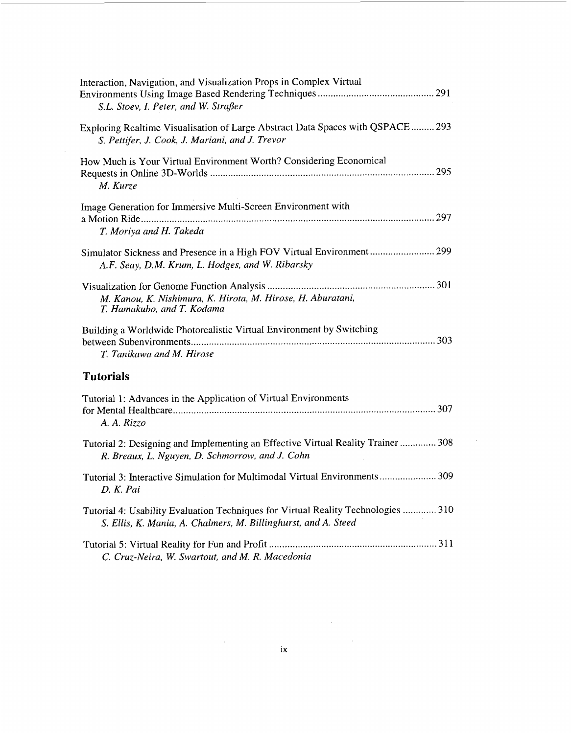| Interaction, Navigation, and Visualization Props in Complex Virtual<br>S.L. Stoev, I. Peter, and W. Straßer                                         |
|-----------------------------------------------------------------------------------------------------------------------------------------------------|
| Exploring Realtime Visualisation of Large Abstract Data Spaces with QSPACE  293<br>S. Pettifer, J. Cook, J. Mariani, and J. Trevor                  |
| How Much is Your Virtual Environment Worth? Considering Economical<br>M. Kurze                                                                      |
| Image Generation for Immersive Multi-Screen Environment with<br>T. Moriya and H. Takeda                                                             |
| A.F. Seay, D.M. Krum, L. Hodges, and W. Ribarsky                                                                                                    |
| M. Kanou, K. Nishimura, K. Hirota, M. Hirose, H. Aburatani,<br>T. Hamakubo, and T. Kodama                                                           |
| Building a Worldwide Photorealistic Virtual Environment by Switching<br>T. Tanikawa and M. Hirose                                                   |
| <b>Tutorials</b>                                                                                                                                    |
| Tutorial 1: Advances in the Application of Virtual Environments<br>A. A. Rizzo                                                                      |
| Tutorial 2: Designing and Implementing an Effective Virtual Reality Trainer  308<br>R. Breaux, L. Nguyen, D. Schmorrow, and J. Cohn                 |
| Tutorial 3: Interactive Simulation for Multimodal Virtual Environments 309<br>D. K. Pai                                                             |
| Tutorial 4: Usability Evaluation Techniques for Virtual Reality Technologies  310<br>S. Ellis, K. Mania, A. Chalmers, M. Billinghurst, and A. Steed |
| C. Cruz-Neira, W. Swartout, and M. R. Macedonia                                                                                                     |

 $\label{eq:2.1} \frac{1}{\sqrt{2}}\int_{0}^{\infty}\frac{1}{\sqrt{2\pi}}\left(\frac{1}{\sqrt{2\pi}}\right)^{2}d\mu_{\rm{max}}^{2}$